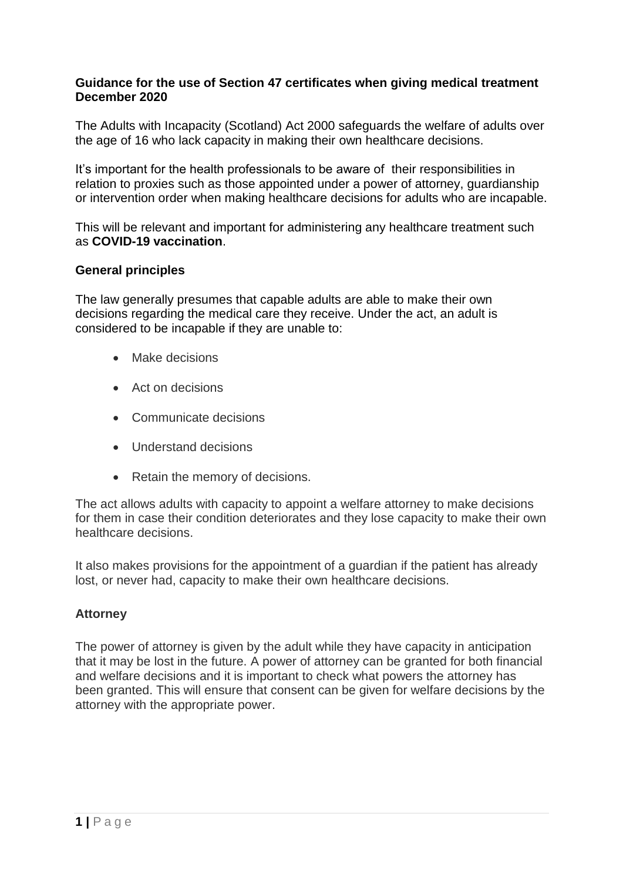### **Guidance for the use of Section 47 certificates when giving medical treatment December 2020**

The Adults with Incapacity (Scotland) Act 2000 safeguards the welfare of adults over the age of 16 who lack capacity in making their own healthcare decisions.

It's important for the health professionals to be aware of their responsibilities in relation to proxies such as those appointed under a power of attorney, guardianship or intervention order when making healthcare decisions for adults who are incapable.

This will be relevant and important for administering any healthcare treatment such as **COVID-19 vaccination**.

# **General principles**

The law generally presumes that capable adults are able to make their own decisions regarding the medical care they receive. Under the act, an adult is considered to be incapable if they are unable to:

- Make decisions
- Act on decisions
- Communicate decisions
- Understand decisions
- Retain the memory of decisions.

The act allows adults with capacity to appoint a welfare attorney to make decisions for them in case their condition deteriorates and they lose capacity to make their own healthcare decisions.

It also makes provisions for the appointment of a guardian if the patient has already lost, or never had, capacity to make their own healthcare decisions.

# **Attorney**

The power of attorney is given by the adult while they have capacity in anticipation that it may be lost in the future. A power of attorney can be granted for both financial and welfare decisions and it is important to check what powers the attorney has been granted. This will ensure that consent can be given for welfare decisions by the attorney with the appropriate power.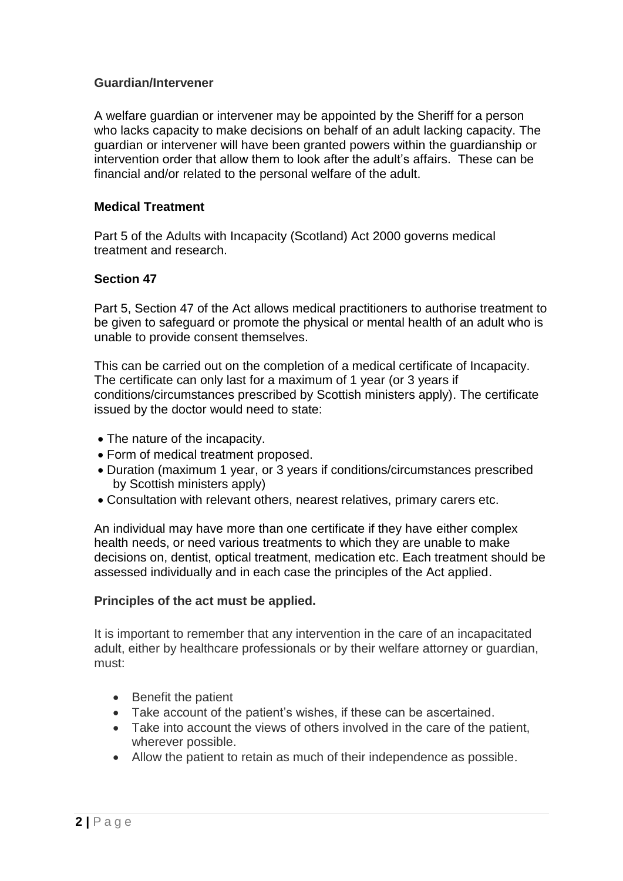## **Guardian/Intervener**

A welfare guardian or intervener may be appointed by the Sheriff for a person who lacks capacity to make decisions on behalf of an adult lacking capacity. The guardian or intervener will have been granted powers within the guardianship or intervention order that allow them to look after the adult's affairs. These can be financial and/or related to the personal welfare of the adult.

# **Medical Treatment**

Part 5 of the Adults with Incapacity (Scotland) Act 2000 governs medical treatment and research.

# **Section 47**

Part 5, Section 47 of the Act allows medical practitioners to authorise treatment to be given to safeguard or promote the physical or mental health of an adult who is unable to provide consent themselves.

This can be carried out on the completion of a medical certificate of Incapacity. The certificate can only last for a maximum of 1 year (or 3 years if conditions/circumstances prescribed by Scottish ministers apply). The certificate issued by the doctor would need to state:

- The nature of the incapacity.
- Form of medical treatment proposed.
- Duration (maximum 1 year, or 3 years if conditions/circumstances prescribed by Scottish ministers apply)
- Consultation with relevant others, nearest relatives, primary carers etc.

An individual may have more than one certificate if they have either complex health needs, or need various treatments to which they are unable to make decisions on, dentist, optical treatment, medication etc. Each treatment should be assessed individually and in each case the principles of the Act applied.

#### **Principles of the act must be applied.**

It is important to remember that any intervention in the care of an incapacitated adult, either by healthcare professionals or by their welfare attorney or guardian, must:

- Benefit the patient
- Take account of the patient's wishes, if these can be ascertained.
- Take into account the views of others involved in the care of the patient, wherever possible.
- Allow the patient to retain as much of their independence as possible.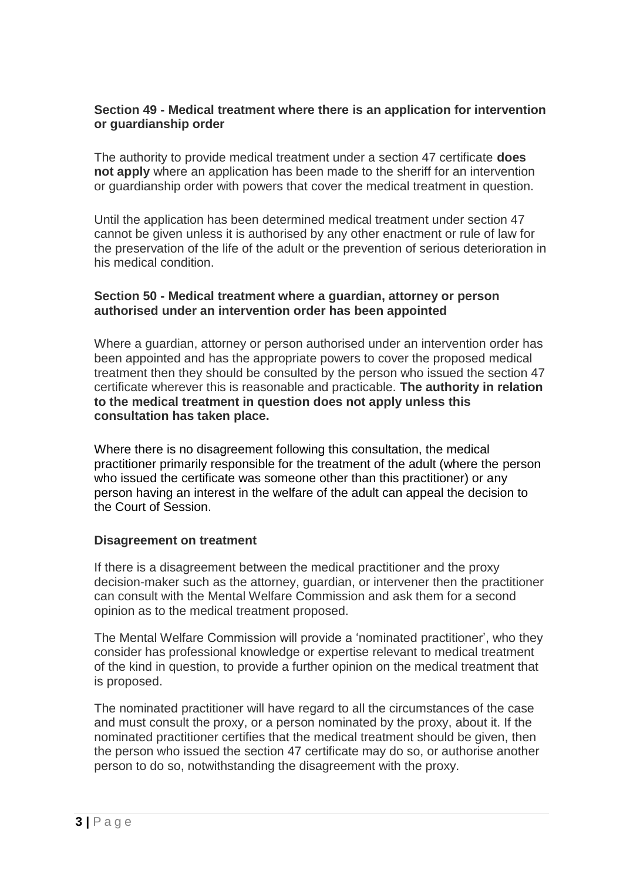# **Section 49 - Medical treatment where there is an application for intervention or guardianship order**

The authority to provide medical treatment under a section 47 certificate **does not apply** where an application has been made to the sheriff for an intervention or guardianship order with powers that cover the medical treatment in question.

Until the application has been determined medical treatment under section 47 cannot be given unless it is authorised by any other enactment or rule of law for the preservation of the life of the adult or the prevention of serious deterioration in his medical condition.

# **Section 50 - Medical treatment where a guardian, attorney or person authorised under an intervention order has been appointed**

Where a guardian, attorney or person authorised under an intervention order has been appointed and has the appropriate powers to cover the proposed medical treatment then they should be consulted by the person who issued the section 47 certificate wherever this is reasonable and practicable. **The authority in relation to the medical treatment in question does not apply unless this consultation has taken place.**

Where there is no disagreement following this consultation, the medical practitioner primarily responsible for the treatment of the adult (where the person who issued the certificate was someone other than this practitioner) or any person having an interest in the welfare of the adult can appeal the decision to the Court of Session.

#### **Disagreement on treatment**

If there is a disagreement between the medical practitioner and the proxy decision-maker such as the attorney, guardian, or intervener then the practitioner can consult with the Mental Welfare Commission and ask them for a second opinion as to the medical treatment proposed.

The Mental Welfare Commission will provide a 'nominated practitioner', who they consider has professional knowledge or expertise relevant to medical treatment of the kind in question, to provide a further opinion on the medical treatment that is proposed.

The nominated practitioner will have regard to all the circumstances of the case and must consult the proxy, or a person nominated by the proxy, about it. If the nominated practitioner certifies that the medical treatment should be given, then the person who issued the section 47 certificate may do so, or authorise another person to do so, notwithstanding the disagreement with the proxy.